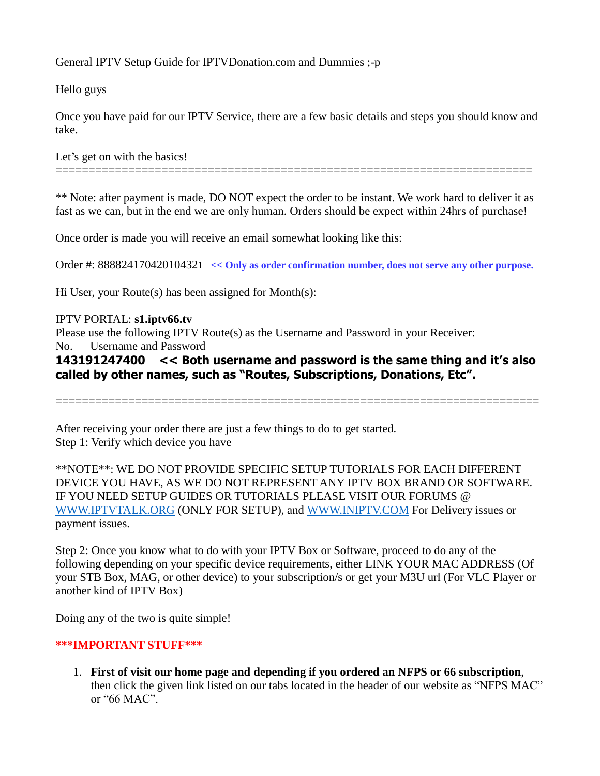General IPTV Setup Guide for IPTVDonation.com and Dummies ;-p

Hello guys

Once you have paid for our IPTV Service, there are a few basic details and steps you should know and take.

Let's get on with the basics!

\*\* Note: after payment is made, DO NOT expect the order to be instant. We work hard to deliver it as fast as we can, but in the end we are only human. Orders should be expect within 24hrs of purchase!

========================================================================

Once order is made you will receive an email somewhat looking like this:

Order #: [88882417042010432](https://pay.yizhifubj.com/merchant/order/mer_order_detail.jsp?order_cd=20170520-12474-888820170520104320)1 **<< Only as order confirmation number, does not serve any other purpose.**

Hi User, your Route(s) has been assigned for Month(s):

#### IPTV PORTAL: **s1.iptv66.tv**

Please use the following IPTV Route(s) as the Username and Password in your Receiver:

No. Username and Password

**143191247400 << Both username and password is the same thing and it's also called by other names, such as "Routes, Subscriptions, Donations, Etc".**

=========================================================================

After receiving your order there are just a few things to do to get started. Step 1: Verify which device you have

\*\*NOTE\*\*: WE DO NOT PROVIDE SPECIFIC SETUP TUTORIALS FOR EACH DIFFERENT DEVICE YOU HAVE, AS WE DO NOT REPRESENT ANY IPTV BOX BRAND OR SOFTWARE. IF YOU NEED SETUP GUIDES OR TUTORIALS PLEASE VISIT OUR FORUMS @ [WWW.IPTVTALK.ORG](http://www.iptvtalk.org/) (ONLY FOR SETUP), and [WWW.INIPTV.COM](http://www.iniptv.com/) For Delivery issues or payment issues.

Step 2: Once you know what to do with your IPTV Box or Software, proceed to do any of the following depending on your specific device requirements, either LINK YOUR MAC ADDRESS (Of your STB Box, MAG, or other device) to your subscription/s or get your M3U url (For VLC Player or another kind of IPTV Box)

Doing any of the two is quite simple!

#### **\*\*\*IMPORTANT STUFF\*\*\***

1. **First of visit our home page and depending if you ordered an NFPS or 66 subscription**, then click the given link listed on our tabs located in the header of our website as "NFPS MAC" or "66 MAC".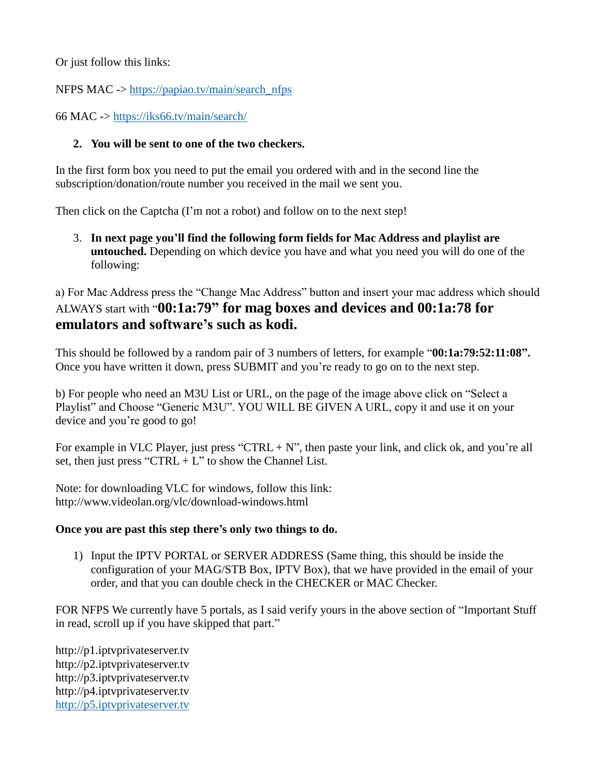Or just follow this links:

NFPS MAC -> [https://papiao.tv/main/search\\_nfps](https://papiao.tv/main/search_nfps)

66 MAC -><https://iks66.tv/main/search/>

# **2. You will be sent to one of the two checkers.**

In the first form box you need to put the email you ordered with and in the second line the subscription/donation/route number you received in the mail we sent you.

Then click on the Captcha (I'm not a robot) and follow on to the next step!

3. **In next page you'll find the following form fields for Mac Address and playlist are untouched.** Depending on which device you have and what you need you will do one of the following:

a) For Mac Address press the "Change Mac Address" button and insert your mac address which should ALWAYS start with "**00:1a:79" for mag boxes and devices and 00:1a:78 for emulators and software's such as kodi.**

This should be followed by a random pair of 3 numbers of letters, for example "**00:1a:79:52:11:08".** Once you have written it down, press SUBMIT and you're ready to go on to the next step.

b) For people who need an M3U List or URL, on the page of the image above click on "Select a Playlist" and Choose "Generic M3U". YOU WILL BE GIVEN A URL, copy it and use it on your device and you're good to go!

For example in VLC Player, just press "CTRL  $+ N$ ", then paste your link, and click ok, and you're all set, then just press "CTRL  $+ L$ " to show the Channel List.

Note: for downloading VLC for windows, follow this link: http://www.videolan.org/vlc/download-windows.html

### **Once you are past this step there's only two things to do.**

1) Input the IPTV PORTAL or SERVER ADDRESS (Same thing, this should be inside the configuration of your MAG/STB Box, IPTV Box), that we have provided in the email of your order, and that you can double check in the CHECKER or MAC Checker.

FOR NFPS We currently have 5 portals, as I said verify yours in the above section of "Important Stuff in read, scroll up if you have skipped that part."

http://p1.iptvprivateserver.tv http://p2.iptvprivateserver.tv http://p3.iptvprivateserver.tv http://p4.iptvprivateserver.tv [http://p5.iptvprivateserver.tv](http://p5.iptvprivateserver.tv/)